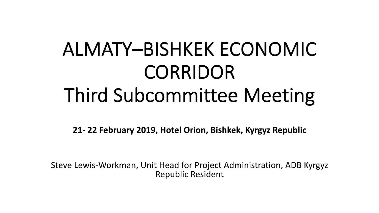# ALMATY–BISHKEK ECONOMIC CORRIDOR Third Subcommittee Meeting

**21- 22 February 2019, Hotel Orion, Bishkek, Kyrgyz Republic**

Steve Lewis-Workman, Unit Head for Project Administration, ADB Kyrgyz Republic Resident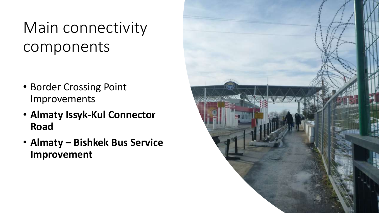### Main connectivity components

- Border Crossing Point Improvements
- **Almaty Issyk-Kul Connector Road**
- **Almaty – Bishkek Bus Service Improvement**

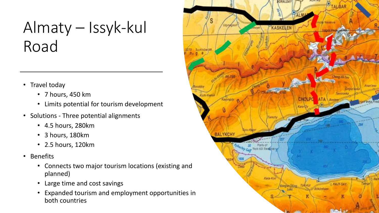## Almaty – Issyk-kul Road

- Travel today
	- 7 hours, 450 km
	- Limits potential for tourism development
- Solutions Three potential alignments
	- 4.5 hours, 280km
	- 3 hours, 180km
	- 2.5 hours, 120km
- Benefits
	- Connects two major tourism locations (existing and planned)
	- Large time and cost savings
	- Expanded tourism and employment opportunities in both countries

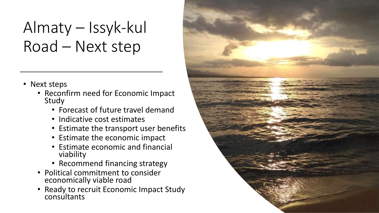## Almaty – Issyk-kul Road – Next step

- Next steps
	- Reconfirm need for Economic Impact Study
		- Forecast of future travel demand
		- Indicative cost estimates
		- Estimate the transport user benefits
		- Estimate the economic impact
		- Estimate economic and financial viability
		- Recommend financing strategy
	- Political commitment to consider economically viable road
	- Ready to recruit Economic Impact Study consultants

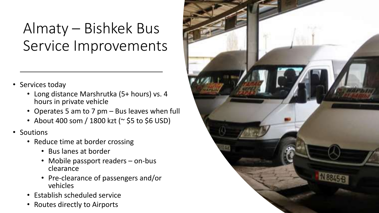#### Almaty – Bishkek Bus Service Improvements

- Services today
	- Long distance Marshrutka (5+ hours) vs. 4 hours in private vehicle
	- Operates 5 am to 7 pm Bus leaves when full
	- About 400 som / 1800 kzt (~ \$5 to \$6 USD)
- Soutions
	- Reduce time at border crossing
		- Bus lanes at border
		- Mobile passport readers on-bus clearance
		- Pre-clearance of passengers and/or vehicles
	- Establish scheduled service
	- Routes directly to Airports